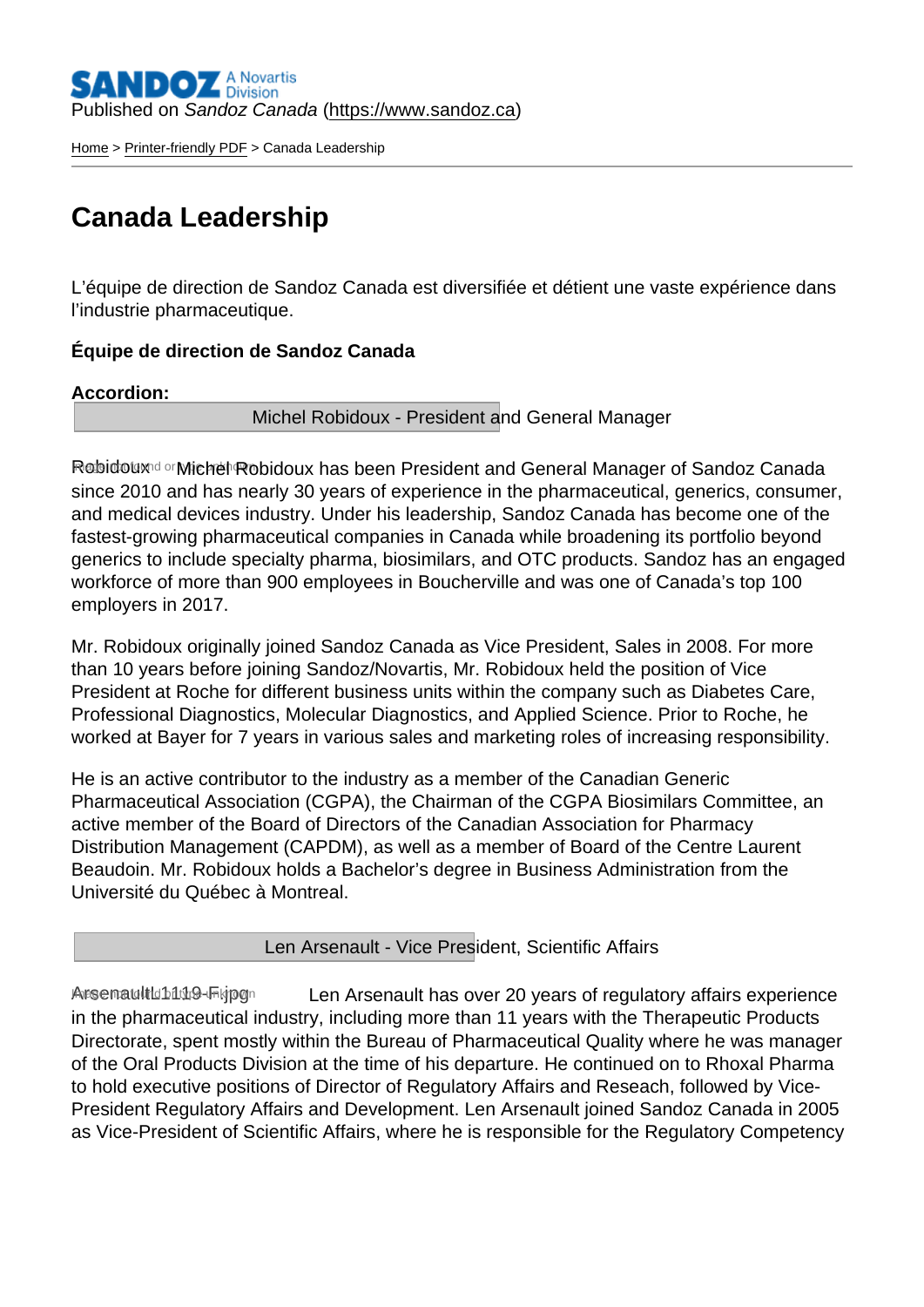Published on Sandoz Canada [\(https://www.sandoz.ca](https://www.sandoz.ca))

[Home](https://www.sandoz.ca/en) > [Printer-friendly PDF](https://www.sandoz.ca/en/printpdf) > Canada Leadership

# Canada Leadership

L'équipe de direction de Sandoz Canada est diversifiée et détient une vaste expérience dans l'industrie pharmaceutique.

Équipe de direction de Sandoz Canada

Accordion :

Michel Robidoux - President and General Manager

Robidoux **Indiage 19 and 7 type 10** Robidoux has been President and General Manager of Sandoz Canada since 2010 and has nearly 30 years of experience in the pharmaceutical, generics, consumer, and medical devices industry. Under his leadership, Sandoz Canada has become one of the fastest-growing pharmaceutical companies in Canada while broadening its portfolio beyond generics to include specialty pharma, biosimilars, and OTC products. Sandoz has an engaged workforce of more than 900 employees in Boucherville and was one of Canada's top 100 employers in 2017.

Mr. Robidoux originally joined Sandoz Canada as Vice President, Sales in 2008. For more than 10 years before joining Sandoz/Novartis, Mr. Robidoux held the position of Vice President at Roche for different business units within the company such as Diabetes Care, Professional Diagnostics, Molecular Diagnostics, and Applied Science. Prior to Roche, he worked at Bayer for 7 years in various sales and marketing roles of increasing responsibility.

He is an active contributor to the industry as a member of the Canadian Generic Pharmaceutical Association (CGPA), the Chairman of the CGPA Biosimilars Committee, an active member of the Board of Directors of the Canadian Association for Pharmacy Distribution Management (CAPDM), as well as a member of Board of the Centre Laurent Beaudoin. Mr. Robidoux holds a Bachelor's degree in Business Administration from the Université du Québec à Montreal.

Len Arsenault - Vice President, Scientific Affairs

ArsenaultLt119-Frigg Len Arsenault has over 20 years of regulatory affairs experience in the pharmaceutical industry, including more than 11 years with the Therapeutic Products Directorate, spent mostly within the Bureau of Pharmaceutical Quality where he was manager of the Oral Products Division at the time of his departure. He continued on to Rhoxal Pharma to hold executive positions of Director of Regulatory Affairs and Reseach, followed by Vice-President Regulatory Affairs and Development. Len Arsenault joined Sandoz Canada in 2005 as Vice-President of Scientific Affairs, where he is responsible for the Regulatory Competency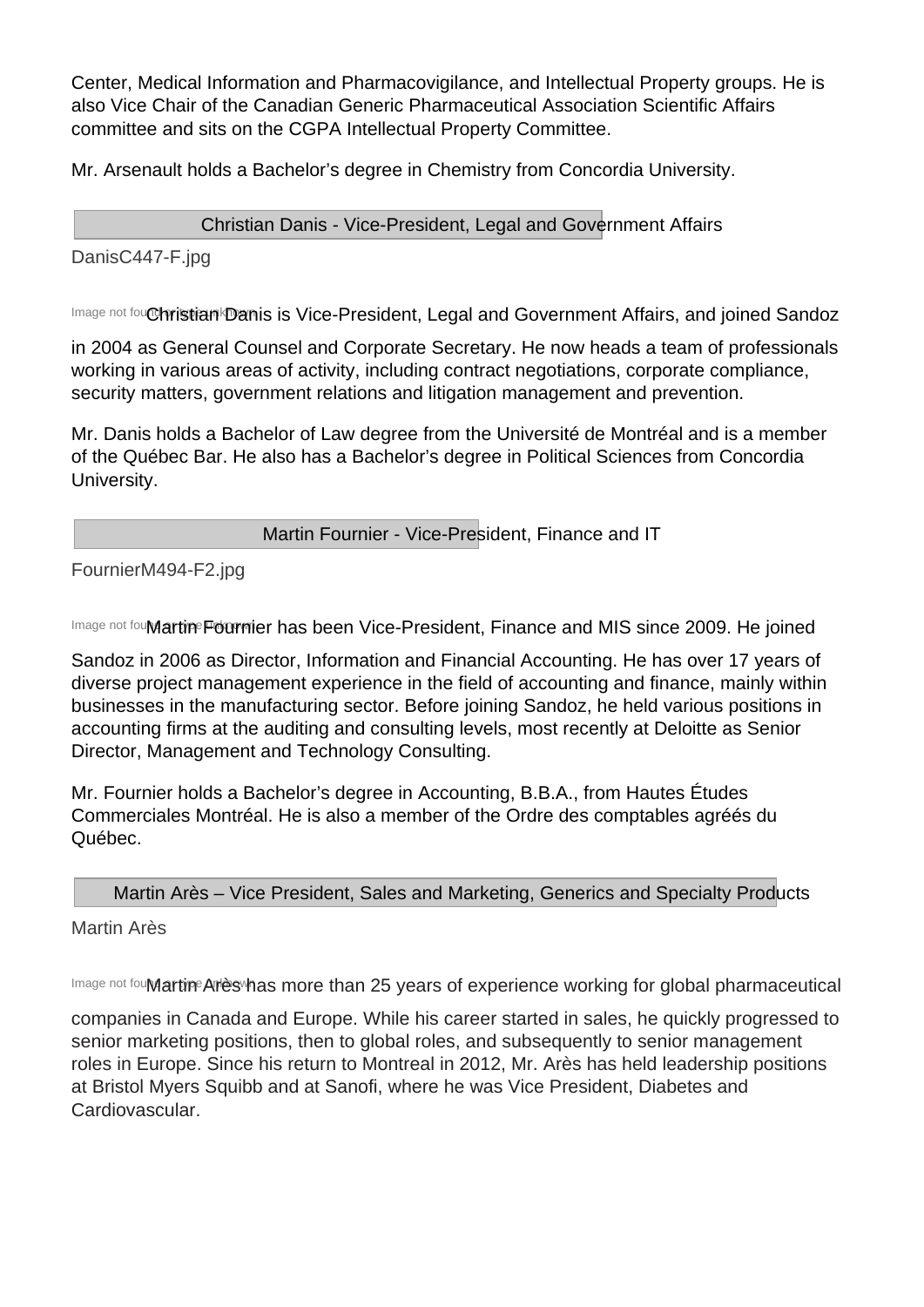Center, Medical Information and Pharmacovigilance, and Intellectual Property groups. He is also Vice Chair of the Canadian Generic Pharmaceutical Association Scientific Affairs committee and sits on the CGPA Intellectual Property Committee.

Mr. Arsenault holds a Bachelor's degree in Chemistry from Concordia University.

Christian Danis - Vice-President, Legal and Government Affairs

DanisC447-F.jpg

Image not fou Christian Danis is Vice-President, Legal and Government Affairs, and joined Sandoz

in 2004 as General Counsel and Corporate Secretary. He now heads a team of professionals working in various areas of activity, including contract negotiations, corporate compliance, security matters, government relations and litigation management and prevention.

Mr. Danis holds a Bachelor of Law degree from the Université de Montréal and is a member of the Québec Bar. He also has a Bachelor's degree in Political Sciences from Concordia University.

Martin Fournier - Vice-President, Finance and IT

FournierM494-F2.jpg

Image not fou**Martine Fournier has been Vice-President, Finance and MIS since 2009. He joined** 

Sandoz in 2006 as Director, Information and Financial Accounting. He has over 17 years of diverse project management experience in the field of accounting and finance, mainly within businesses in the manufacturing sector. Before joining Sandoz, he held various positions in accounting firms at the auditing and consulting levels, most recently at Deloitte as Senior Director, Management and Technology Consulting.

Mr. Fournier holds a Bachelor's degree in Accounting, B.B.A., from Hautes Études Commerciales Montréal. He is also a member of the Ordre des comptables agréés du Québec.

Martin Arès – Vice President, Sales and Marketing, Generics and Specialty Products

Martin Arès

Image not fou**Martine Ariès whas more than 25 years of experience working for global pharmaceutical** 

companies in Canada and Europe. While his career started in sales, he quickly progressed to senior marketing positions, then to global roles, and subsequently to senior management roles in Europe. Since his return to Montreal in 2012, Mr. Arès has held leadership positions at Bristol Myers Squibb and at Sanofi, where he was Vice President, Diabetes and Cardiovascular.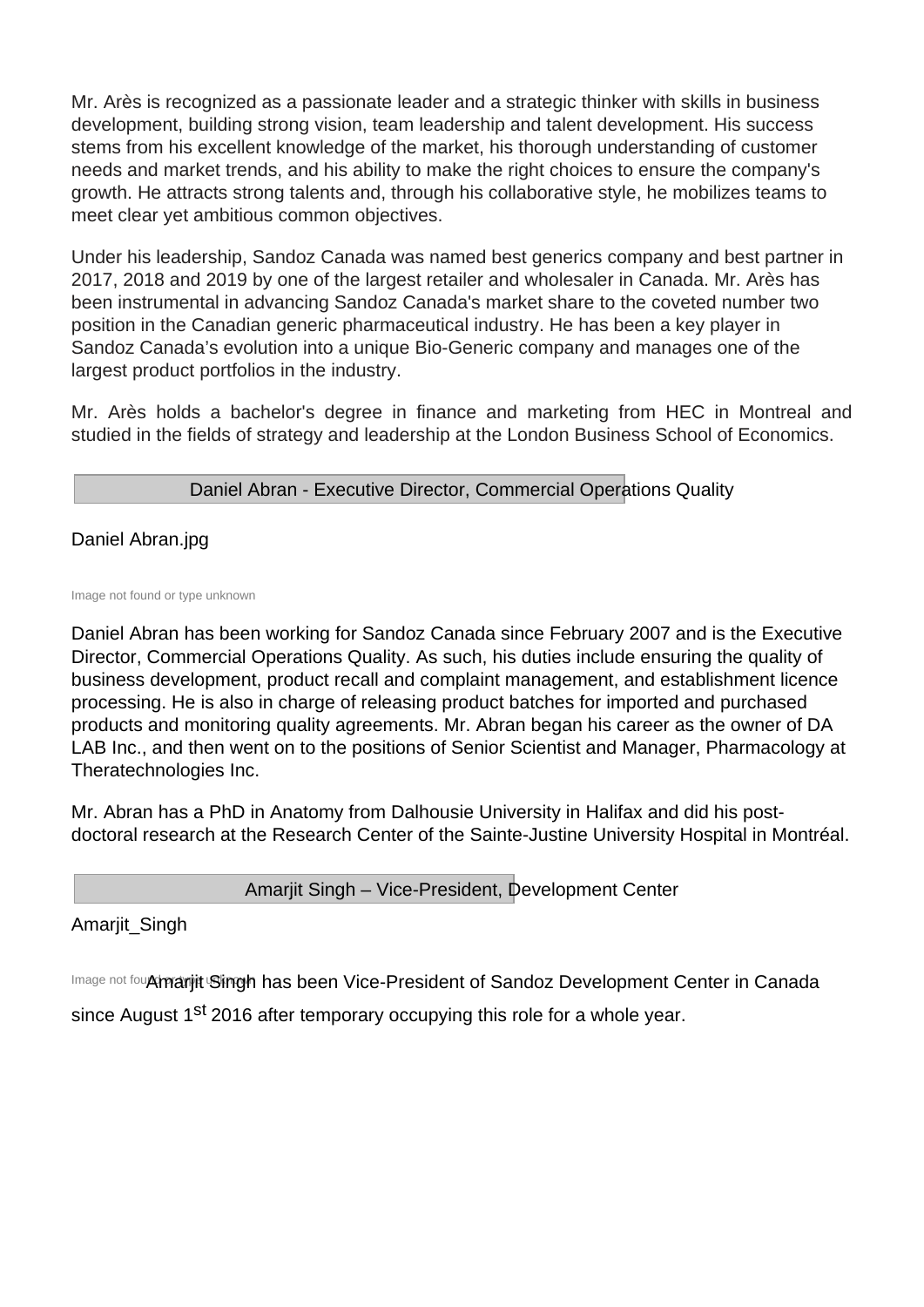Mr. Arès is recognized as a passionate leader and a strategic thinker with skills in business development, building strong vision, team leadership and talent development. His success stems from his excellent knowledge of the market, his thorough understanding of customer needs and market trends, and his ability to make the right choices to ensure the company's growth. He attracts strong talents and, through his collaborative style, he mobilizes teams to meet clear yet ambitious common objectives.

Under his leadership, Sandoz Canada was named best generics company and best partner in 2017, 2018 and 2019 by one of the largest retailer and wholesaler in Canada. Mr. Arès has been instrumental in advancing Sandoz Canada's market share to the coveted number two position in the Canadian generic pharmaceutical industry. He has been a key player in Sandoz Canada's evolution into a unique Bio-Generic company and manages one of the largest product portfolios in the industry.

Mr. Arès holds a bachelor's degree in finance and marketing from HEC in Montreal and studied in the fields of strategy and leadership at the London Business School of Economics.

Daniel Abran - Executive Director, Commercial Operations Quality

Daniel Abran.jpg

Image not found or type unknown

Daniel Abran has been working for Sandoz Canada since February 2007 and is the Executive Director, Commercial Operations Quality. As such, his duties include ensuring the quality of business development, product recall and complaint management, and establishment licence processing. He is also in charge of releasing product batches for imported and purchased products and monitoring quality agreements. Mr. Abran began his career as the owner of DA LAB Inc., and then went on to the positions of Senior Scientist and Manager, Pharmacology at Theratechnologies Inc.

Mr. Abran has a PhD in Anatomy from Dalhousie University in Halifax and did his postdoctoral research at the Research Center of the Sainte-Justine University Hospital in Montréal.

Amarjit Singh – Vice-President, Development Center

Amarjit\_Singh

Image not fou**Amarjit Singh has been Vice-President of Sandoz Development Center in Canada** 

since August 1<sup>st</sup> 2016 after temporary occupying this role for a whole year.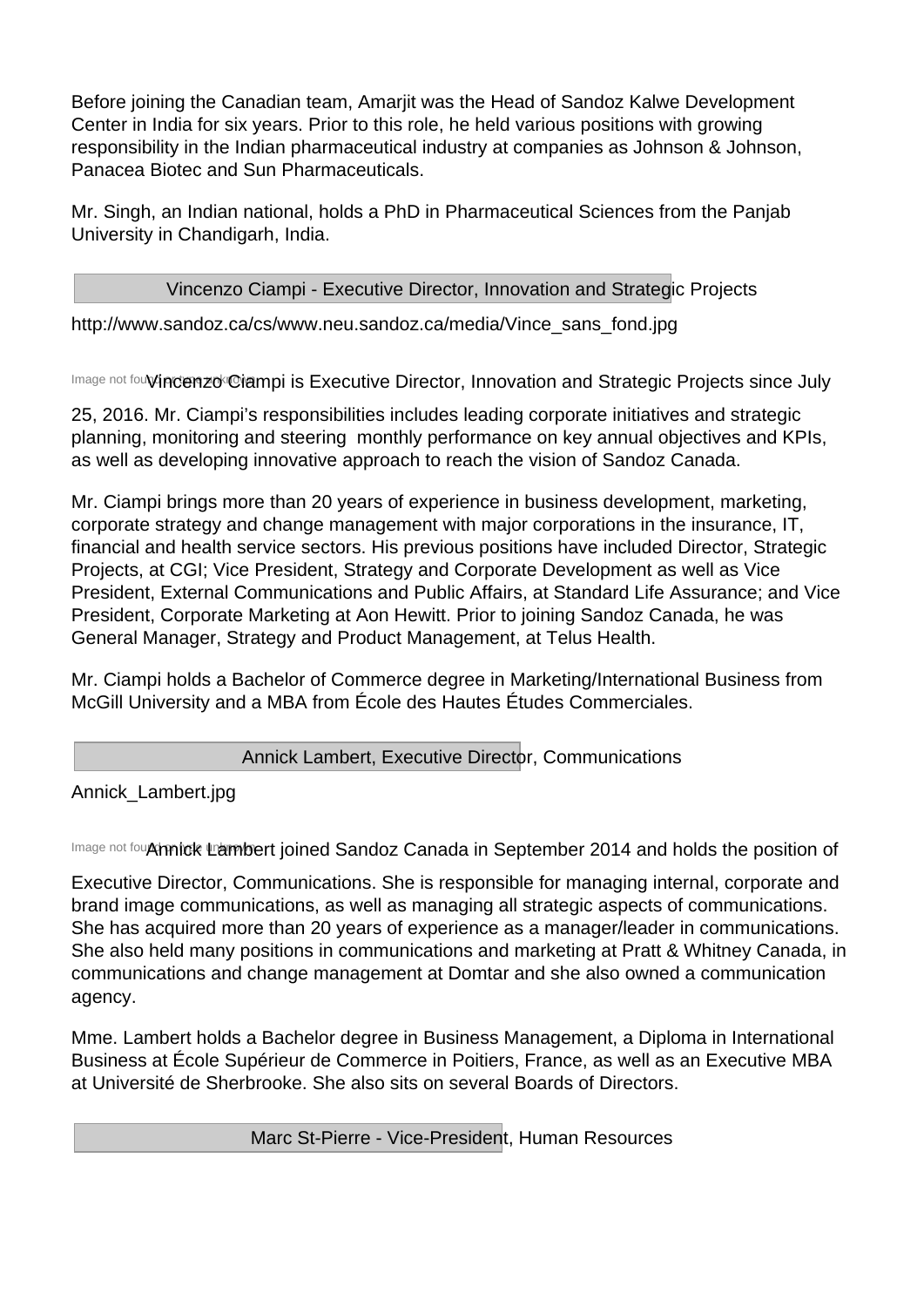Before joining the Canadian team, Amarjit was the Head of Sandoz Kalwe Development Center in India for six years. Prior to this role, he held various positions with growing responsibility in the Indian pharmaceutical industry at companies as Johnson & Johnson, Panacea Biotec and Sun Pharmaceuticals.

Mr. Singh, an Indian national, holds a PhD in Pharmaceutical Sciences from the Panjab University in Chandigarh, India.

Vincenzo Ciampi - Executive Director, Innovation and Strategic Projects

http://www.sandoz.ca/cs/www.neu.sandoz.ca/media/Vince\_sans\_fond.jpg

Image not fou**lyincenzo Ciampi is Executive Director, Innovation and Strategic Projects since July** 

25, 2016. Mr. Ciampi's responsibilities includes leading corporate initiatives and strategic planning, monitoring and steering monthly performance on key annual objectives and KPIs, as well as developing innovative approach to reach the vision of Sandoz Canada.

Mr. Ciampi brings more than 20 years of experience in business development, marketing, corporate strategy and change management with major corporations in the insurance, IT, financial and health service sectors. His previous positions have included Director, Strategic Projects, at CGI; Vice President, Strategy and Corporate Development as well as Vice President, External Communications and Public Affairs, at Standard Life Assurance; and Vice President, Corporate Marketing at Aon Hewitt. Prior to joining Sandoz Canada, he was General Manager, Strategy and Product Management, at Telus Health.

Mr. Ciampi holds a Bachelor of Commerce degree in Marketing/International Business from McGill University and a MBA from École des Hautes Études Commerciales.

Annick Lambert, Executive Director, Communications

Annick\_Lambert.jpg

Image not fou**Ahnick Lambert joined Sandoz Canada in September 2014 and holds the position of** 

Executive Director, Communications. She is responsible for managing internal, corporate and brand image communications, as well as managing all strategic aspects of communications. She has acquired more than 20 years of experience as a manager/leader in communications. She also held many positions in communications and marketing at Pratt & Whitney Canada, in communications and change management at Domtar and she also owned a communication agency.

Mme. Lambert holds a Bachelor degree in Business Management, a Diploma in International Business at École Supérieur de Commerce in Poitiers, France, as well as an Executive MBA at Université de Sherbrooke. She also sits on several Boards of Directors.

Marc St-Pierre - Vice-President, Human Resources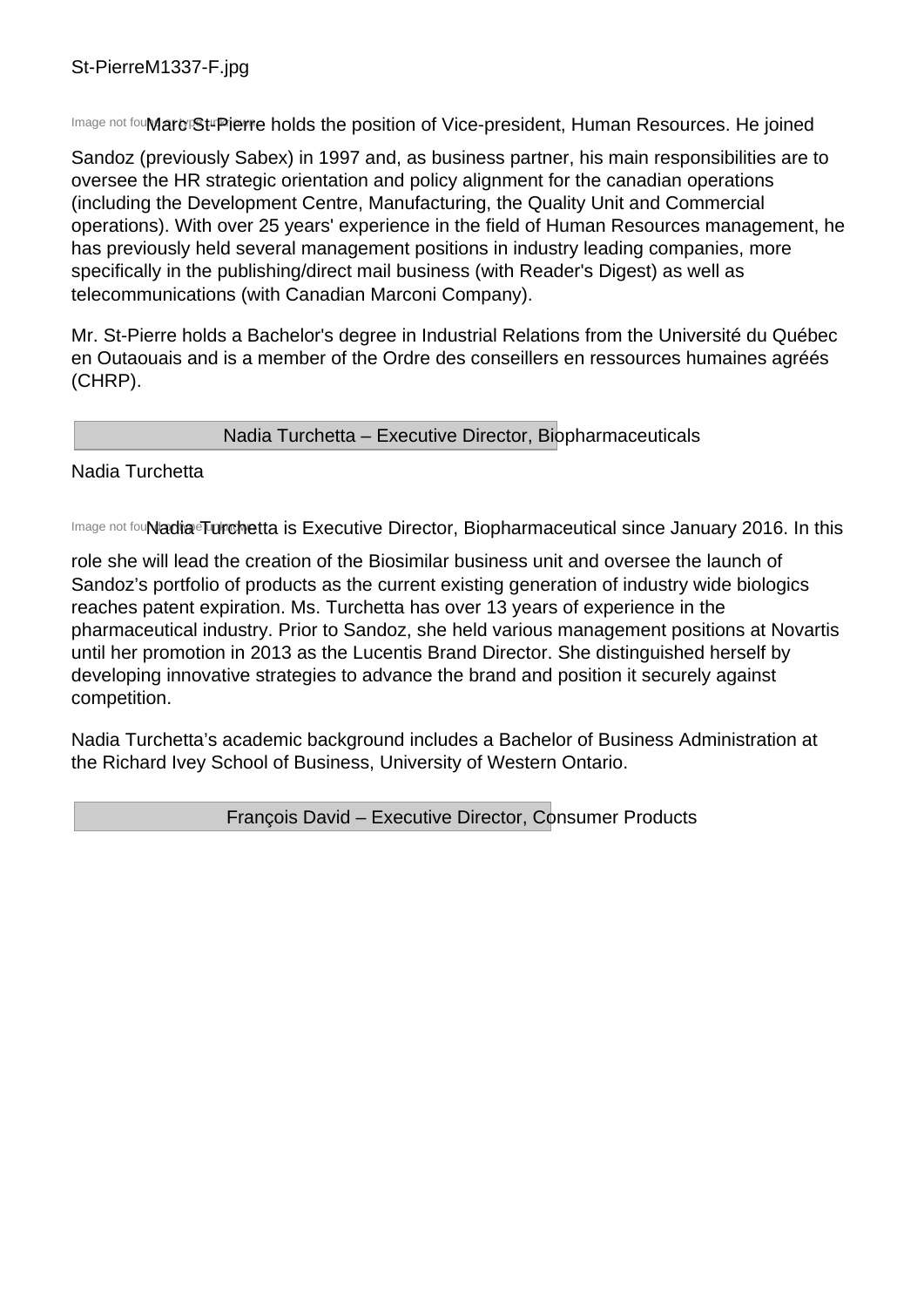Image not fou**Marc St-Pierre holds the position of Vice-president, Human Resources. He joined** 

Sandoz (previously Sabex) in 1997 and, as business partner, his main responsibilities are to oversee the HR strategic orientation and policy alignment for the canadian operations (including the Development Centre, Manufacturing, the Quality Unit and Commercial operations). With over 25 years' experience in the field of Human Resources management, he has previously held several management positions in industry leading companies, more specifically in the publishing/direct mail business (with Reader's Digest) as well as telecommunications (with Canadian Marconi Company).

Mr. St-Pierre holds a Bachelor's degree in Industrial Relations from the Université du Québec en Outaouais and is a member of the Ordre des conseillers en ressources humaines agréés (CHRP).

# Nadia Turchetta – Executive Director, Biopharmaceuticals

#### Nadia Turchetta

Image not fou**Nadia Turchetta is Executive Director, Biopharmaceutical since January 2016. In this** 

role she will lead the creation of the Biosimilar business unit and oversee the launch of Sandoz's portfolio of products as the current existing generation of industry wide biologics reaches patent expiration. Ms. Turchetta has over 13 years of experience in the pharmaceutical industry. Prior to Sandoz, she held various management positions at Novartis until her promotion in 2013 as the Lucentis Brand Director. She distinguished herself by developing innovative strategies to advance the brand and position it securely against competition.

Nadia Turchetta's academic background includes a Bachelor of Business Administration at the Richard Ivey School of Business, University of Western Ontario.

François David – Executive Director, Consumer Products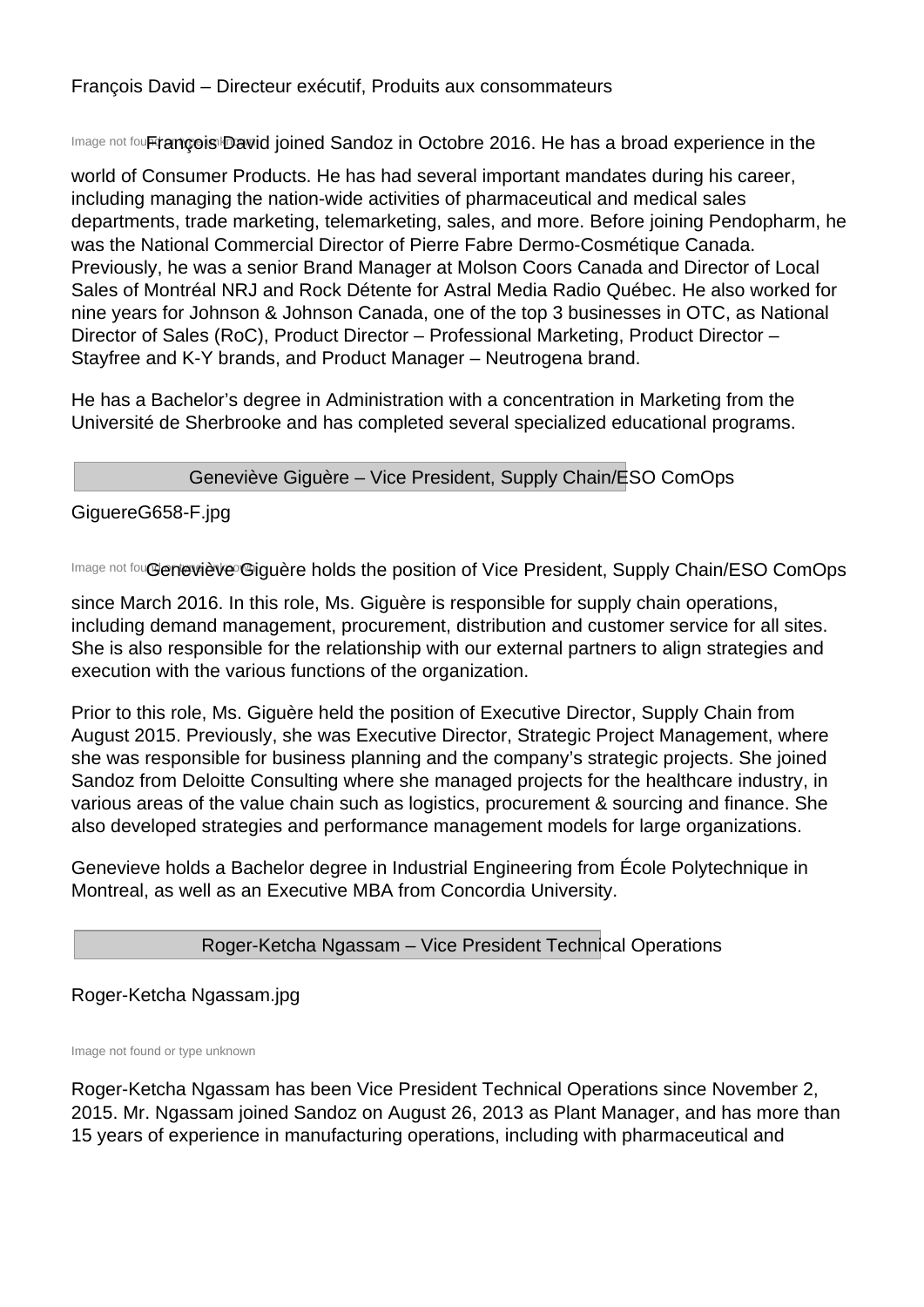François David – Directeur exécutif, Produits aux consommateurs

Image not four trance is David joined Sandoz in Octobre 2016. He has a broad experience in the

world of Consumer Products. He has had several important mandates during his career, including managing the nation-wide activities of pharmaceutical and medical sales departments, trade marketing, telemarketing, sales, and more. Before joining Pendopharm, he was the National Commercial Director of Pierre Fabre Dermo-Cosmétique Canada. Previously, he was a senior Brand Manager at Molson Coors Canada and Director of Local Sales of Montréal NRJ and Rock Détente for Astral Media Radio Québec. He also worked for nine years for Johnson & Johnson Canada, one of the top 3 businesses in OTC, as National Director of Sales (RoC), Product Director – Professional Marketing, Product Director – Stayfree and K-Y brands, and Product Manager – Neutrogena brand.

He has a Bachelor's degree in Administration with a concentration in Marketing from the Université de Sherbrooke and has completed several specialized educational programs.

# Geneviève Giguère – Vice President, Supply Chain/ESO ComOps

GiguereG658-F.jpg

Image not fou**Geneviève Giguère holds the position of Vice President, Supply Chain/ESO ComOps** 

since March 2016. In this role, Ms. Giguère is responsible for supply chain operations, including demand management, procurement, distribution and customer service for all sites. She is also responsible for the relationship with our external partners to align strategies and execution with the various functions of the organization.

Prior to this role, Ms. Giguère held the position of Executive Director, Supply Chain from August 2015. Previously, she was Executive Director, Strategic Project Management, where she was responsible for business planning and the company's strategic projects. She joined Sandoz from Deloitte Consulting where she managed projects for the healthcare industry, in various areas of the value chain such as logistics, procurement & sourcing and finance. She also developed strategies and performance management models for large organizations.

Genevieve holds a Bachelor degree in Industrial Engineering from École Polytechnique in Montreal, as well as an Executive MBA from Concordia University.

# Roger-Ketcha Ngassam – Vice President Technical Operations

# Roger-Ketcha Ngassam.jpg

Image not found or type unknown

Roger-Ketcha Ngassam has been Vice President Technical Operations since November 2, 2015. Mr. Ngassam joined Sandoz on August 26, 2013 as Plant Manager, and has more than 15 years of experience in manufacturing operations, including with pharmaceutical and